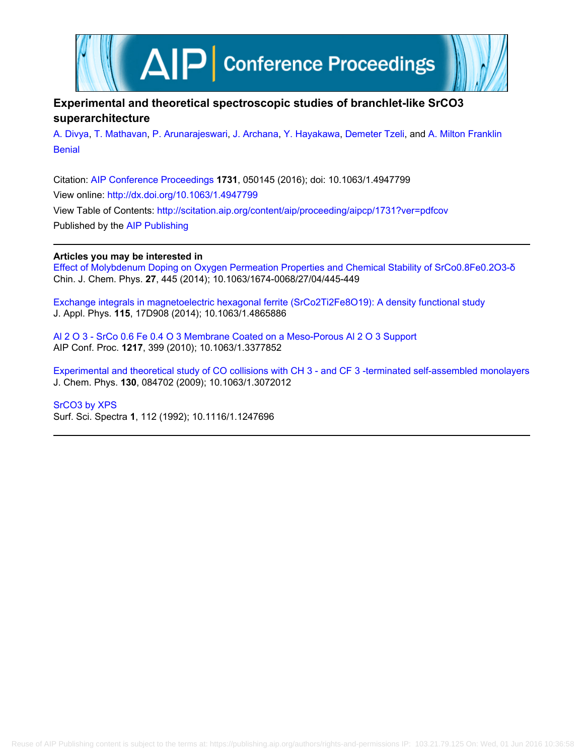

# **Experimental and theoretical spectroscopic studies of branchlet-like SrCO3 superarchitecture**

[A. Divya](http://scitation.aip.org/search?value1=A.+Divya&option1=author), [T. Mathavan](http://scitation.aip.org/search?value1=T.+Mathavan&option1=author), [P. Arunarajeswari,](http://scitation.aip.org/search?value1=P.+Arunarajeswari&option1=author) [J. Archana](http://scitation.aip.org/search?value1=J.+Archana&option1=author), [Y. Hayakawa](http://scitation.aip.org/search?value1=Y.+Hayakawa&option1=author), [Demeter Tzeli](http://scitation.aip.org/search?value1=Demeter+Tzeli&option1=author), and [A. Milton Franklin](http://scitation.aip.org/search?value1=A.+Milton+Franklin+Benial&option1=author) [Benial](http://scitation.aip.org/search?value1=A.+Milton+Franklin+Benial&option1=author)

Citation: [AIP Conference Proceedings](http://scitation.aip.org/content/aip/proceeding/aipcp?ver=pdfcov) **1731**, 050145 (2016); doi: 10.1063/1.4947799 View online: <http://dx.doi.org/10.1063/1.4947799> View Table of Contents: <http://scitation.aip.org/content/aip/proceeding/aipcp/1731?ver=pdfcov> Published by the [AIP Publishing](http://scitation.aip.org/content/aip?ver=pdfcov)

## **Articles you may be interested in**

[Effect of Molybdenum Doping on Oxygen Permeation Properties and Chemical Stability of SrCo0.8Fe0.2O3-δ](http://scitation.aip.org/content/cps/journal/cjcp/27/4/10.1063/1674-0068/27/04/445-449?ver=pdfcov) Chin. J. Chem. Phys. **27**, 445 (2014); 10.1063/1674-0068/27/04/445-449

[Exchange integrals in magnetoelectric hexagonal ferrite \(SrCo2Ti2Fe8O19\): A density functional study](http://scitation.aip.org/content/aip/journal/jap/115/17/10.1063/1.4865886?ver=pdfcov) J. Appl. Phys. **115**, 17D908 (2014); 10.1063/1.4865886

[Al 2 O 3 ‐ SrCo 0.6 Fe 0.4 O 3 Membrane Coated on a Meso‐Porous Al 2 O 3 Support](http://scitation.aip.org/content/aip/proceeding/aipcp/10.1063/1.3377852?ver=pdfcov) AIP Conf. Proc. **1217**, 399 (2010); 10.1063/1.3377852

[Experimental and theoretical study of CO collisions with CH 3 - and CF 3 -terminated self-assembled monolayers](http://scitation.aip.org/content/aip/journal/jcp/130/8/10.1063/1.3072012?ver=pdfcov) J. Chem. Phys. **130**, 084702 (2009); 10.1063/1.3072012

[SrCO3 by XPS](http://scitation.aip.org/content/avs/journal/sss/1/1/10.1116/1.1247696?ver=pdfcov)

Surf. Sci. Spectra **1**, 112 (1992); 10.1116/1.1247696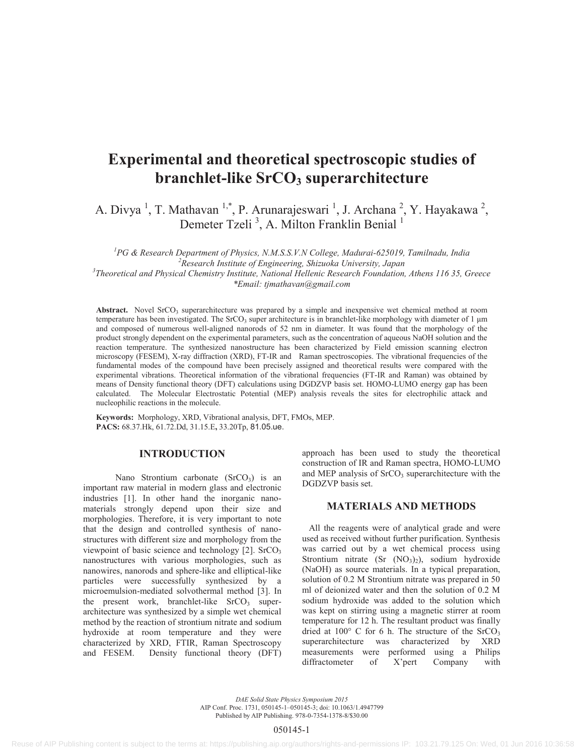# **Experimental and theoretical spectroscopic studies of branchlet-like SrCO<sub>3</sub> superarchitecture**

A. Divya<sup>1</sup>, T. Mathavan<sup>1,\*</sup>, P. Arunarajeswari<sup>1</sup>, J. Archana<sup>2</sup>, Y. Hayakawa<sup>2</sup>, Demeter Tzeli<sup>3</sup>, A. Milton Franklin Benial<sup>1</sup>

<sup>1</sup> PG & Research Department of Physics, N.M.S.S.V.N College, Madurai-625019, Tamilnadu, India <sup>2</sup> Peacemak Institute of Engineering Shipueles University Jangu *Research Institute of Engineering, Shizuoka University, Japan 3 Theoretical and Physical Chemistry Institute, National Hellenic Research Foundation, Athens 116 35, Greece \*Email: tjmathavan@gmail.com* 

**Abstract.** Novel  $SrCO<sub>3</sub>$  superarchitecture was prepared by a simple and inexpensive wet chemical method at room temperature has been investigated. The SrCO<sub>3</sub> super architecture is in branchlet-like morphology with diameter of 1 μm and composed of numerous well-aligned nanorods of 52 nm in diameter. It was found that the morphology of the product strongly dependent on the experimental parameters, such as the concentration of aqueous NaOH solution and the reaction temperature. The synthesized nanostructure has been characterized by Field emission scanning electron microscopy (FESEM), X-ray diffraction (XRD), FT-IR and Raman spectroscopies. The vibrational frequencies of the fundamental modes of the compound have been precisely assigned and theoretical results were compared with the experimental vibrations. Theoretical information of the vibrational frequencies (FT-IR and Raman) was obtained by means of Density functional theory (DFT) calculations using DGDZVP basis set. HOMO-LUMO energy gap has been calculated. The Molecular Electrostatic Potential (MEP) analysis reveals the sites for electrophilic attack and nucleophilic reactions in the molecule.

**Keywords:** Morphology, XRD, Vibrational analysis, DFT, FMOs, MEP. **PACS:** 68.37.Hk, 61.72.Dd, 31.15.E**,** 33.20Tp, 81.05.ue.

### **INTRODUCTION**

Nano Strontium carbonate  $(SrCO<sub>3</sub>)$  is an important raw material in modern glass and electronic industries [1]. In other hand the inorganic nanomaterials strongly depend upon their size and morphologies. Therefore, it is very important to note that the design and controlled synthesis of nanostructures with different size and morphology from the viewpoint of basic science and technology  $[2]$ . SrCO<sub>3</sub> nanostructures with various morphologies, such as nanowires, nanorods and sphere-like and elliptical-like particles were successfully synthesized by a microemulsion-mediated solvothermal method [3]. In the present work, branchlet-like  $SrCO<sub>3</sub>$  superarchitecture was synthesized by a simple wet chemical method by the reaction of strontium nitrate and sodium hydroxide at room temperature and they were characterized by XRD, FTIR, Raman Spectroscopy and FESEM. Density functional theory (DFT)

approach has been used to study the theoretical construction of IR and Raman spectra, HOMO-LUMO and MEP analysis of  $S<sub>rcO</sub>$ , superarchitecture with the DGDZVP basis set.

#### **MATERIALS AND METHODS**

All the reagents were of analytical grade and were used as received without further purification. Synthesis was carried out by a wet chemical process using Strontium nitrate (Sr  $(NO<sub>3</sub>)<sub>2</sub>$ ), sodium hydroxide (NaOH) as source materials. In a typical preparation, solution of 0.2 M Strontium nitrate was prepared in 50 ml of deionized water and then the solution of 0.2 M sodium hydroxide was added to the solution which was kept on stirring using a magnetic stirrer at room temperature for 12 h. The resultant product was finally dried at  $100^{\circ}$  C for 6 h. The structure of the SrCO<sub>3</sub> superarchitecture was characterized by XRD measurements were performed using a Philips diffractometer of X'pert Company with

*DAE Solid State Physics Symposium 2015* AIP Conf. Proc. 1731, 050145-1–050145-3; doi: 10.1063/1.4947799 Published by AIP Publishing. 978-0-7354-1378-8/\$30.00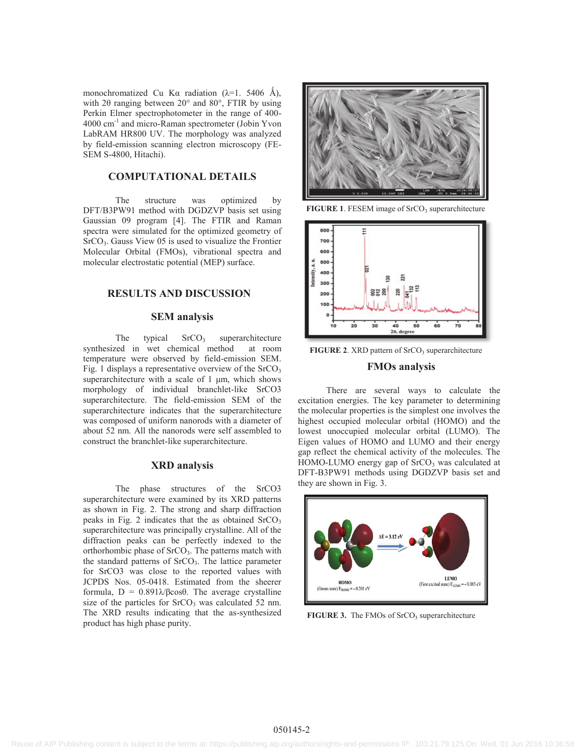monochromatized Cu Kα radiation  $(\lambda=1.5406 \text{ Å})$ , with 2 $\theta$  ranging between 20 $\degree$  and 80 $\degree$ , FTIR by using Perkin Elmer spectrophotometer in the range of 400- 4000 cm<sup>-1</sup> and micro-Raman spectrometer (Jobin Yvon LabRAM HR800 UV. The morphology was analyzed by field-emission scanning electron microscopy (FE-SEM S-4800, Hitachi).

#### **COMPUTATIONAL DETAILS**

The structure was optimized by DFT/B3PW91 method with DGDZVP basis set using Gaussian 09 program [4]. The FTIR and Raman spectra were simulated for the optimized geometry of SrCO<sub>3</sub>. Gauss View 05 is used to visualize the Frontier Molecular Orbital (FMOs), vibrational spectra and molecular electrostatic potential (MEP) surface.

#### **RESULTS AND DISCUSSION**

#### **SEM analysis**

The typical  $SrCO<sub>3</sub>$  superarchitecture synthesized in wet chemical method at room temperature were observed by field-emission SEM. Fig. 1 displays a representative overview of the  $S<sub>1</sub>CO<sub>3</sub>$ superarchitecture with a scale of 1 μm, which shows morphology of individual branchlet-like SrCO3 superarchitecture. The field-emission SEM of the superarchitecture indicates that the superarchitecture was composed of uniform nanorods with a diameter of about 52 nm. All the nanorods were self assembled to construct the branchlet-like superarchitecture.

#### **XRD analysis**

The phase structures of the SrCO3 superarchitecture were examined by its XRD patterns as shown in Fig. 2. The strong and sharp diffraction peaks in Fig. 2 indicates that the as obtained  $S<sub>1</sub>CO<sub>3</sub>$ superarchitecture was principally crystalline. All of the diffraction peaks can be perfectly indexed to the orthorhombic phase of  $SrCO<sub>3</sub>$ . The patterns match with the standard patterns of  $SrCO<sub>3</sub>$ . The lattice parameter for SrCO3 was close to the reported values with JCPDS Nos. 05-0418. Estimated from the sheerer formula,  $D = 0.891\lambda/\beta\cos\theta$ . The average crystalline size of the particles for  $S<sub>rcO</sub>$  was calculated 52 nm. The XRD results indicating that the as-synthesized product has high phase purity.



**FIGURE 1.** FESEM image of SrCO<sub>3</sub> superarchitecture



**FIGURE 2.** XRD pattern of SrCO<sub>3</sub> superarchitecture

#### **FMOs analysis**

There are several ways to calculate the excitation energies. The key parameter to determining the molecular properties is the simplest one involves the highest occupied molecular orbital (HOMO) and the lowest unoccupied molecular orbital (LUMO). The Eigen values of HOMO and LUMO and their energy gap reflect the chemical activity of the molecules. The HOMO-LUMO energy gap of SrCO<sub>3</sub> was calculated at DFT-B3PW91 methods using DGDZVP basis set and they are shown in Fig. 3.



**FIGURE 3.** The FMOs of SrCO<sub>3</sub> superarchitecture